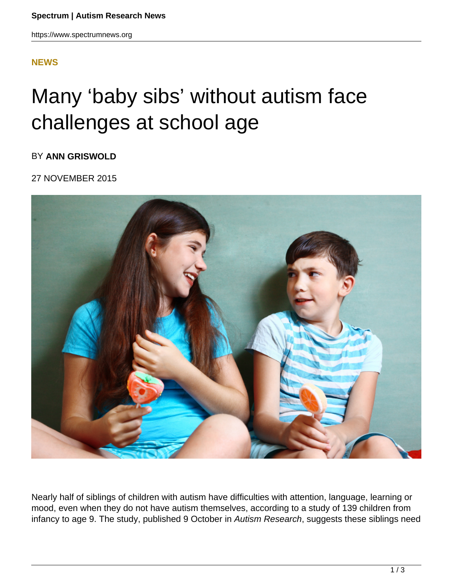## **[NEWS](HTTPS://WWW.SPECTRUMNEWS.ORG/NEWS/)**

# Many 'baby sibs' without autism face challenges at school age

BY **ANN GRISWOLD**

### 27 NOVEMBER 2015



Nearly half of siblings of children with autism have difficulties with attention, language, learning or mood, even when they do not have autism themselves, according to a study of 139 children from infancy to age 9. The study, published 9 October in Autism Research, suggests these siblings need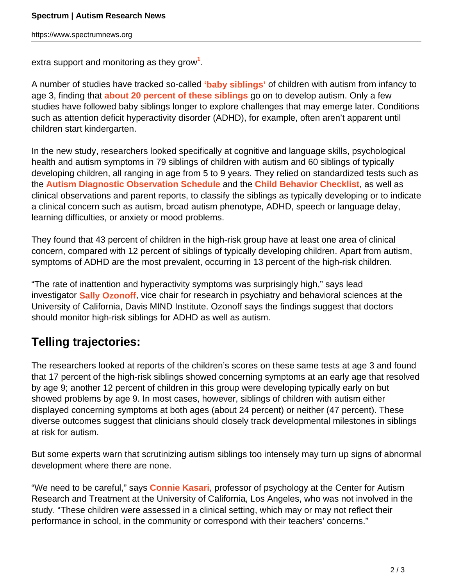extra support and monitoring as they grow**<sup>1</sup>** .

A number of studies have tracked so-called **'baby siblings'** of children with autism from infancy to age 3, finding that **about 20 percent of these siblings** go on to develop autism. Only a few studies have followed baby siblings longer to explore challenges that may emerge later. Conditions such as attention deficit hyperactivity disorder (ADHD), for example, often aren't apparent until children start kindergarten.

In the new study, researchers looked specifically at cognitive and language skills, psychological health and autism symptoms in 79 siblings of children with autism and 60 siblings of typically developing children, all ranging in age from 5 to 9 years. They relied on standardized tests such as the **Autism Diagnostic Observation Schedule** and the **Child Behavior Checklist**, as well as clinical observations and parent reports, to classify the siblings as typically developing or to indicate a clinical concern such as autism, broad autism phenotype, ADHD, speech or language delay, learning difficulties, or anxiety or mood problems.

They found that 43 percent of children in the high-risk group have at least one area of clinical concern, compared with 12 percent of siblings of typically developing children. Apart from autism, symptoms of ADHD are the most prevalent, occurring in 13 percent of the high-risk children.

"The rate of inattention and hyperactivity symptoms was surprisingly high," says lead investigator **Sally Ozonoff**, vice chair for research in psychiatry and behavioral sciences at the University of California, Davis MIND Institute. Ozonoff says the findings suggest that doctors should monitor high-risk siblings for ADHD as well as autism.

## **Telling trajectories:**

The researchers looked at reports of the children's scores on these same tests at age 3 and found that 17 percent of the high-risk siblings showed concerning symptoms at an early age that resolved by age 9; another 12 percent of children in this group were developing typically early on but showed problems by age 9. In most cases, however, siblings of children with autism either displayed concerning symptoms at both ages (about 24 percent) or neither (47 percent). These diverse outcomes suggest that clinicians should closely track developmental milestones in siblings at risk for autism.

But some experts warn that scrutinizing autism siblings too intensely may turn up signs of abnormal development where there are none.

"We need to be careful," says **Connie Kasari**, professor of psychology at the Center for Autism Research and Treatment at the University of California, Los Angeles, who was not involved in the study. "These children were assessed in a clinical setting, which may or may not reflect their performance in school, in the community or correspond with their teachers' concerns."